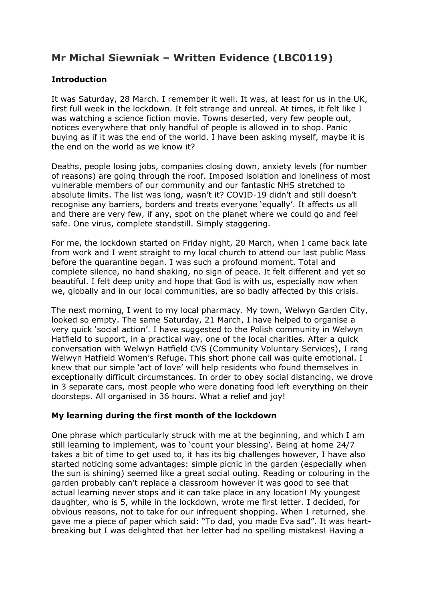# **Mr Michal Siewniak – Written Evidence (LBC0119)**

### **Introduction**

It was Saturday, 28 March. I remember it well. It was, at least for us in the UK, first full week in the lockdown. It felt strange and unreal. At times, it felt like I was watching a science fiction movie. Towns deserted, very few people out, notices everywhere that only handful of people is allowed in to shop. Panic buying as if it was the end of the world. I have been asking myself, maybe it is the end on the world as we know it?

Deaths, people losing jobs, companies closing down, anxiety levels (for number of reasons) are going through the roof. Imposed isolation and loneliness of most vulnerable members of our community and our fantastic NHS stretched to absolute limits. The list was long, wasn't it? COVID-19 didn't and still doesn't recognise any barriers, borders and treats everyone 'equally'. It affects us all and there are very few, if any, spot on the planet where we could go and feel safe. One virus, complete standstill. Simply staggering.

For me, the lockdown started on Friday night, 20 March, when I came back late from work and I went straight to my local church to attend our last public Mass before the quarantine began. I was such a profound moment. Total and complete silence, no hand shaking, no sign of peace. It felt different and yet so beautiful. I felt deep unity and hope that God is with us, especially now when we, globally and in our local communities, are so badly affected by this crisis.

The next morning, I went to my local pharmacy. My town, Welwyn Garden City, looked so empty. The same Saturday, 21 March, I have helped to organise a very quick 'social action'. I have suggested to the Polish community in Welwyn Hatfield to support, in a practical way, one of the local charities. After a quick conversation with Welwyn Hatfield CVS (Community Voluntary Services), I rang Welwyn Hatfield Women's Refuge. This short phone call was quite emotional. I knew that our simple 'act of love' will help residents who found themselves in exceptionally difficult circumstances. In order to obey social distancing, we drove in 3 separate cars, most people who were donating food left everything on their doorsteps. All organised in 36 hours. What a relief and joy!

#### **My learning during the first month of the lockdown**

One phrase which particularly struck with me at the beginning, and which I am still learning to implement, was to 'count your blessing'. Being at home 24/7 takes a bit of time to get used to, it has its big challenges however, I have also started noticing some advantages: simple picnic in the garden (especially when the sun is shining) seemed like a great social outing. Reading or colouring in the garden probably can't replace a classroom however it was good to see that actual learning never stops and it can take place in any location! My youngest daughter, who is 5, while in the lockdown, wrote me first letter. I decided, for obvious reasons, not to take for our infrequent shopping. When I returned, she gave me a piece of paper which said: "To dad, you made Eva sad". It was heartbreaking but I was delighted that her letter had no spelling mistakes! Having a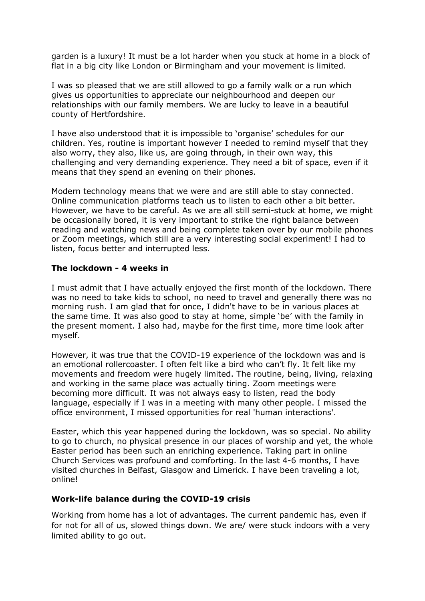garden is a luxury! It must be a lot harder when you stuck at home in a block of flat in a big city like London or Birmingham and your movement is limited.

I was so pleased that we are still allowed to go a family walk or a run which gives us opportunities to appreciate our neighbourhood and deepen our relationships with our family members. We are lucky to leave in a beautiful county of Hertfordshire.

I have also understood that it is impossible to 'organise' schedules for our children. Yes, routine is important however I needed to remind myself that they also worry, they also, like us, are going through, in their own way, this challenging and very demanding experience. They need a bit of space, even if it means that they spend an evening on their phones.

Modern technology means that we were and are still able to stay connected. Online communication platforms teach us to listen to each other a bit better. However, we have to be careful. As we are all still semi-stuck at home, we might be occasionally bored, it is very important to strike the right balance between reading and watching news and being complete taken over by our mobile phones or Zoom meetings, which still are a very interesting social experiment! I had to listen, focus better and interrupted less.

#### **The lockdown - 4 weeks in**

I must admit that I have actually enjoyed the first month of the lockdown. There was no need to take kids to school, no need to travel and generally there was no morning rush. I am glad that for once, I didn't have to be in various places at the same time. It was also good to stay at home, simple 'be' with the family in the present moment. I also had, maybe for the first time, more time look after myself.

However, it was true that the COVID-19 experience of the lockdown was and is an emotional rollercoaster. I often felt like a bird who can't fly. It felt like my movements and freedom were hugely limited. The routine, being, living, relaxing and working in the same place was actually tiring. Zoom meetings were becoming more difficult. It was not always easy to listen, read the body language, especially if I was in a meeting with many other people. I missed the office environment, I missed opportunities for real 'human interactions'.

Easter, which this year happened during the lockdown, was so special. No ability to go to church, no physical presence in our places of worship and yet, the whole Easter period has been such an enriching experience. Taking part in online Church Services was profound and comforting. In the last 4-6 months, I have visited churches in Belfast, Glasgow and Limerick. I have been traveling a lot, online!

#### **Work-life balance during the COVID-19 crisis**

Working from home has a lot of advantages. The current pandemic has, even if for not for all of us, slowed things down. We are/ were stuck indoors with a very limited ability to go out.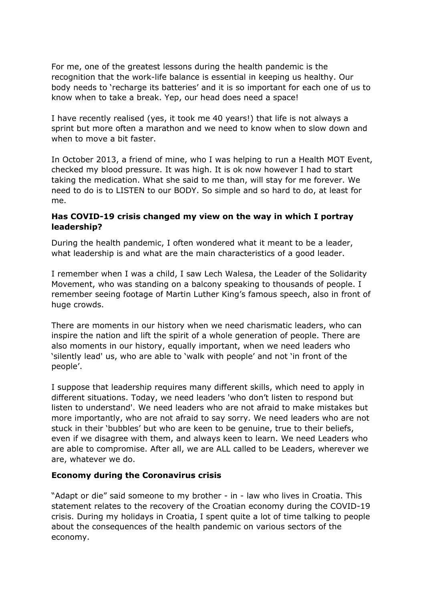For me, one of the greatest lessons during the health pandemic is the recognition that the work-life balance is essential in keeping us healthy. Our body needs to 'recharge its batteries' and it is so important for each one of us to know when to take a break. Yep, our head does need a space!

I have recently realised (yes, it took me 40 years!) that life is not always a sprint but more often a marathon and we need to know when to slow down and when to move a bit faster.

In October 2013, a friend of mine, who I was helping to run a Health MOT Event, checked my blood pressure. It was high. It is ok now however I had to start taking the medication. What she said to me than, will stay for me forever. We need to do is to LISTEN to our BODY. So simple and so hard to do, at least for me.

#### **Has COVID-19 crisis changed my view on the way in which I portray leadership?**

During the health pandemic, I often wondered what it meant to be a leader, what leadership is and what are the main characteristics of a good leader.

I remember when I was a child, I saw Lech Walesa, the Leader of the Solidarity Movement, who was standing on a balcony speaking to thousands of people. I remember seeing footage of Martin Luther King's famous speech, also in front of huge crowds.

There are moments in our history when we need charismatic leaders, who can inspire the nation and lift the spirit of a whole generation of people. There are also moments in our history, equally important, when we need leaders who 'silently lead' us, who are able to 'walk with people' and not 'in front of the people'.

I suppose that leadership requires many different skills, which need to apply in different situations. Today, we need leaders 'who don't listen to respond but listen to understand'. We need leaders who are not afraid to make mistakes but more importantly, who are not afraid to say sorry. We need leaders who are not stuck in their 'bubbles' but who are keen to be genuine, true to their beliefs, even if we disagree with them, and always keen to learn. We need Leaders who are able to compromise. After all, we are ALL called to be Leaders, wherever we are, whatever we do.

#### **Economy during the Coronavirus crisis**

"Adapt or die" said someone to my brother - in - law who lives in Croatia. This statement relates to the recovery of the Croatian economy during the COVID-19 crisis. During my holidays in Croatia, I spent quite a lot of time talking to people about the consequences of the health pandemic on various sectors of the economy.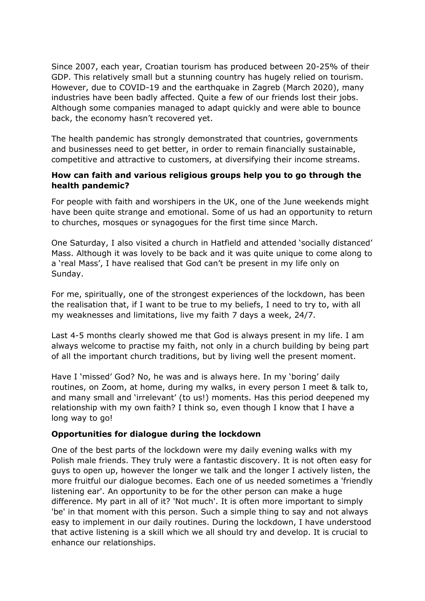Since 2007, each year, Croatian tourism has produced between 20-25% of their GDP. This relatively small but a stunning country has hugely relied on tourism. However, due to COVID-19 and the earthquake in Zagreb (March 2020), many industries have been badly affected. Quite a few of our friends lost their jobs. Although some companies managed to adapt quickly and were able to bounce back, the economy hasn't recovered yet.

The health pandemic has strongly demonstrated that countries, governments and businesses need to get better, in order to remain financially sustainable, competitive and attractive to customers, at diversifying their income streams.

#### **How can faith and various religious groups help you to go through the health pandemic?**

For people with faith and worshipers in the UK, one of the June weekends might have been quite strange and emotional. Some of us had an opportunity to return to churches, mosques or synagogues for the first time since March.

One Saturday, I also visited a church in Hatfield and attended 'socially distanced' Mass. Although it was lovely to be back and it was quite unique to come along to a 'real Mass', I have realised that God can't be present in my life only on Sunday.

For me, spiritually, one of the strongest experiences of the lockdown, has been the realisation that, if I want to be true to my beliefs, I need to try to, with all my weaknesses and limitations, live my faith 7 days a week, 24/7.

Last 4-5 months clearly showed me that God is always present in my life. I am always welcome to practise my faith, not only in a church building by being part of all the important church traditions, but by living well the present moment.

Have I 'missed' God? No, he was and is always here. In my 'boring' daily routines, on Zoom, at home, during my walks, in every person I meet & talk to, and many small and 'irrelevant' (to us!) moments. Has this period deepened my relationship with my own faith? I think so, even though I know that I have a long way to go!

#### **Opportunities for dialogue during the lockdown**

One of the best parts of the lockdown were my daily evening walks with my Polish male friends. They truly were a fantastic discovery. It is not often easy for guys to open up, however the longer we talk and the longer I actively listen, the more fruitful our dialogue becomes. Each one of us needed sometimes a 'friendly listening ear'. An opportunity to be for the other person can make a huge difference. My part in all of it? 'Not much'. It is often more important to simply 'be' in that moment with this person. Such a simple thing to say and not always easy to implement in our daily routines. During the lockdown, I have understood that active listening is a skill which we all should try and develop. It is crucial to enhance our relationships.